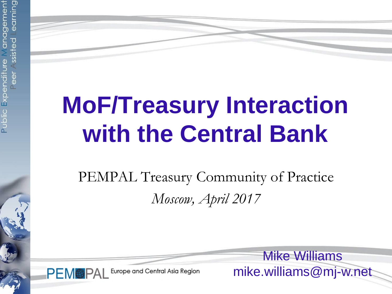$\frac{1}{2}$ 

# **MoF/Treasury Interaction with the Central Bank**

PEMPAL Treasury Community of Practice *Moscow, April 2017*

**PEM®PAL** 

Europe and Central Asia Region

Mike Williams mike.williams@mj-w.net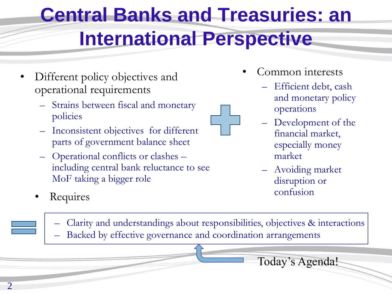## **Central Banks and Treasuries: an International Perspective**

- Different policy objectives and operational requirements
	- Strains between fiscal and monetary policies
	- Inconsistent objectives for different parts of government balance sheet
	- Operational conflicts or clashes including central bank reluctance to see MoF taking a bigger role
- Common interests
	- Efficient debt, cash and monetary policy operations
	- Development of the financial market, especially money market
	- Avoiding market disruption or
- Requires confusion
	- Clarity and understandings about responsibilities, objectives & interactions – Backed by effective governance and coordination arrangements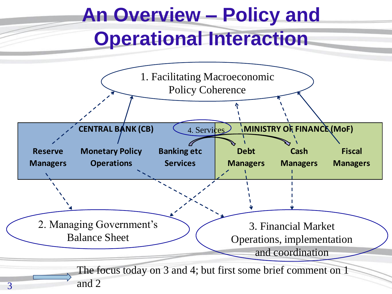## **An Overview – Policy and Operational Interaction**

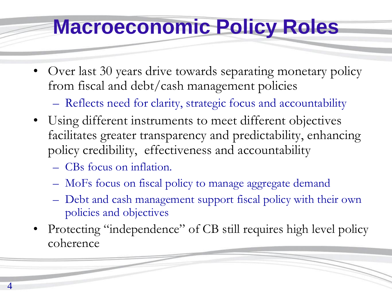### **Macroeconomic Policy Roles**

• Over last 30 years drive towards separating monetary policy from fiscal and debt/cash management policies

– Reflects need for clarity, strategic focus and accountability

- Using different instruments to meet different objectives facilitates greater transparency and predictability, enhancing policy credibility, effectiveness and accountability
	- CBs focus on inflation.
	- MoFs focus on fiscal policy to manage aggregate demand
	- Debt and cash management support fiscal policy with their own policies and objectives
- Protecting "independence" of CB still requires high level policy coherence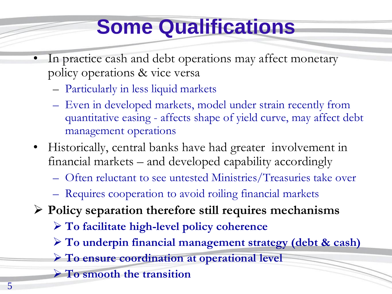## **Some Qualifications**

- In practice cash and debt operations may affect monetary policy operations & vice versa
	- Particularly in less liquid markets
	- Even in developed markets, model under strain recently from quantitative easing - affects shape of yield curve, may affect debt management operations
- Historically, central banks have had greater involvement in financial markets – and developed capability accordingly
	- Often reluctant to see untested Ministries/Treasuries take over
	- Requires cooperation to avoid roiling financial markets
- **Policy separation therefore still requires mechanisms**
	- **To facilitate high-level policy coherence**
	- **To underpin financial management strategy (debt & cash)**
	- **To ensure coordination at operational level**
	- **To smooth the transition**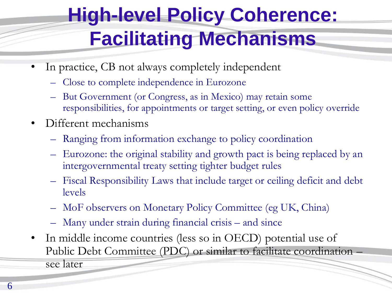## **High-level Policy Coherence: Facilitating Mechanisms**

- In practice, CB not always completely independent
	- Close to complete independence in Eurozone
	- But Government (or Congress, as in Mexico) may retain some responsibilities, for appointments or target setting, or even policy override
- Different mechanisms
	- Ranging from information exchange to policy coordination
	- Eurozone: the original stability and growth pact is being replaced by an intergovernmental treaty setting tighter budget rules
	- Fiscal Responsibility Laws that include target or ceiling deficit and debt levels
	- MoF observers on Monetary Policy Committee (eg UK, China)
	- Many under strain during financial crisis and since
- In middle income countries (less so in OECD) potential use of Public Debt Committee (PDC) or similar to facilitate coordination – see later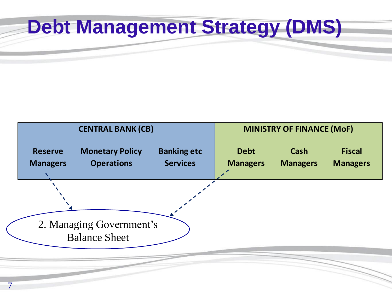## **Debt Management Strategy (DMS)**

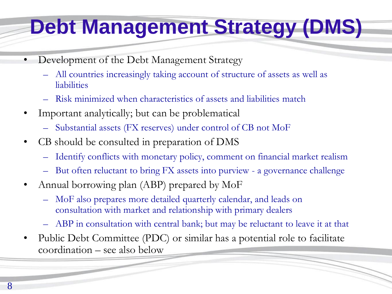## **Debt Management Strategy (DMS)**

- Development of the Debt Management Strategy
	- All countries increasingly taking account of structure of assets as well as liabilities
	- Risk minimized when characteristics of assets and liabilities match
- Important analytically; but can be problematical
	- Substantial assets (FX reserves) under control of CB not MoF
- CB should be consulted in preparation of DMS
	- Identify conflicts with monetary policy, comment on financial market realism
	- But often reluctant to bring FX assets into purview a governance challenge
- Annual borrowing plan (ABP) prepared by MoF
	- MoF also prepares more detailed quarterly calendar, and leads on consultation with market and relationship with primary dealers
	- ABP in consultation with central bank; but may be reluctant to leave it at that
- Public Debt Committee (PDC) or similar has a potential role to facilitate coordination – see also below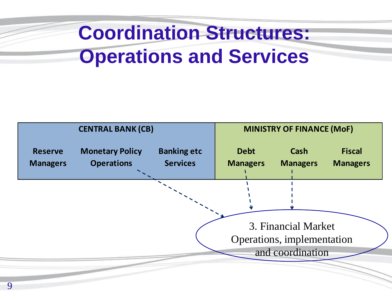## **Coordination Structures: Operations and Services**

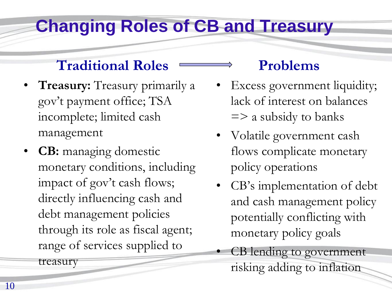#### **Changing Roles of CB and Treasury**

#### **Traditional Roles**

- **Treasury:** Treasury primarily a gov't payment office; TSA incomplete; limited cash management
- **CB:** managing domestic monetary conditions, including impact of gov't cash flows; directly influencing cash and debt management policies through its role as fiscal agent; range of services supplied to

treasury

#### **Problems**

- Excess government liquidity; lack of interest on balances  $\Rightarrow$  a subsidy to banks
- Volatile government cash flows complicate monetary policy operations
- CB's implementation of debt and cash management policy potentially conflicting with monetary policy goals
- CB lending to government risking adding to inflation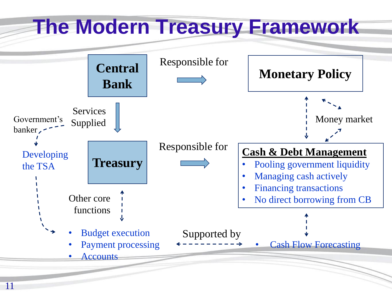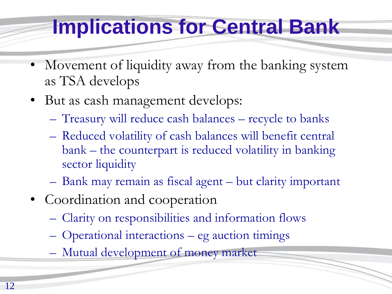## **Implications for Central Bank**

- Movement of liquidity away from the banking system as TSA develops
- But as cash management develops:
	- Treasury will reduce cash balances recycle to banks
	- Reduced volatility of cash balances will benefit central bank – the counterpart is reduced volatility in banking sector liquidity
	- Bank may remain as fiscal agent but clarity important
- Coordination and cooperation
	- Clarity on responsibilities and information flows
	- Operational interactions eg auction timings
	- Mutual development of money market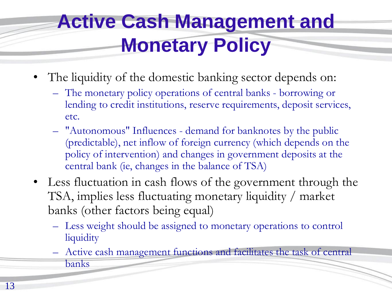## **Active Cash Management and Monetary Policy**

- The liquidity of the domestic banking sector depends on:
	- The monetary policy operations of central banks borrowing or lending to credit institutions, reserve requirements, deposit services, etc.
	- "Autonomous" Influences demand for banknotes by the public (predictable), net inflow of foreign currency (which depends on the policy of intervention) and changes in government deposits at the central bank (ie, changes in the balance of TSA)
- Less fluctuation in cash flows of the government through the TSA, implies less fluctuating monetary liquidity / market banks (other factors being equal)
	- Less weight should be assigned to monetary operations to control liquidity
	- Active cash management functions and facilitates the task of central banks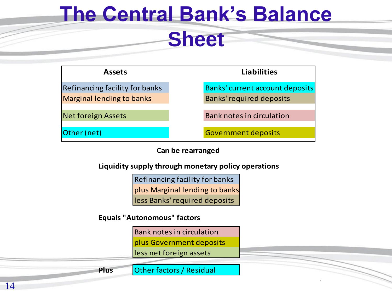## **The Central Bank's Balance**

#### **Sheet**



**Can be rearranged**

**Liquidity supply through monetary policy operations**

less Banks' required deposits plus Marginal lending to banks Refinancing facility for banks

**Equals "Autonomous" factors**

plus Government deposits Bank notes in circulation

less net foreign assets

**Plus**

Other factors / Residual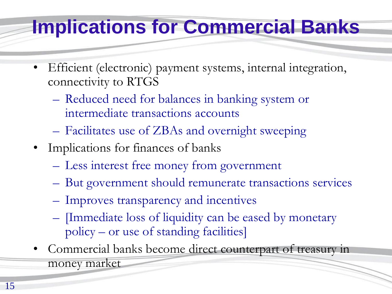#### **Implications for Commercial Banks**

- Efficient (electronic) payment systems, internal integration, connectivity to RTGS
	- Reduced need for balances in banking system or intermediate transactions accounts
	- Facilitates use of ZBAs and overnight sweeping
- Implications for finances of banks
	- Less interest free money from government
	- But government should remunerate transactions services
	- Improves transparency and incentives
	- [Immediate loss of liquidity can be eased by monetary policy – or use of standing facilities]
- Commercial banks become direct counterpart of treasury in money market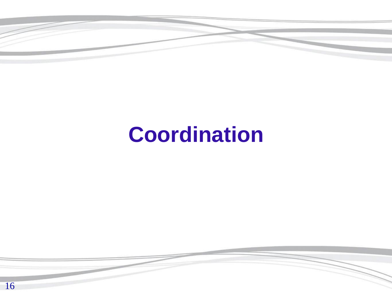

## **Coordination**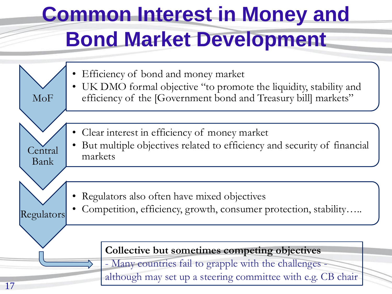## **Common Interest in Money and Bond Market Development**

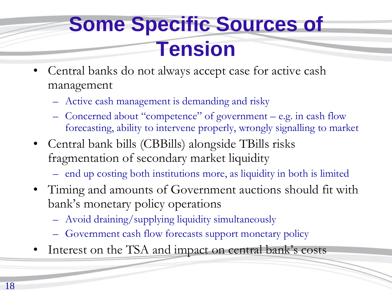### **Some Specific Sources of Tension**

- Central banks do not always accept case for active cash management
	- Active cash management is demanding and risky
	- Concerned about "competence" of government e.g. in cash flow forecasting, ability to intervene properly, wrongly signalling to market
- Central bank bills (CBBills) alongside TBills risks fragmentation of secondary market liquidity
	- end up costing both institutions more, as liquidity in both is limited
- Timing and amounts of Government auctions should fit with bank's monetary policy operations
	- Avoid draining/supplying liquidity simultaneously
	- Government cash flow forecasts support monetary policy
- Interest on the TSA and impact on central bank's costs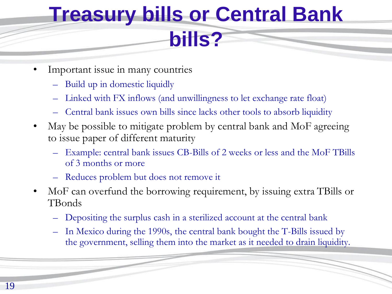## **Treasury bills or Central Bank bills?**

- Important issue in many countries
	- Build up in domestic liquidly
	- Linked with FX inflows (and unwillingness to let exchange rate float)
	- Central bank issues own bills since lacks other tools to absorb liquidity
- May be possible to mitigate problem by central bank and MoF agreeing to issue paper of different maturity
	- Example: central bank issues CB-Bills of 2 weeks or less and the MoF TBills of 3 months or more
	- Reduces problem but does not remove it
- MoF can overfund the borrowing requirement, by issuing extra TBills or TBonds
	- Depositing the surplus cash in a sterilized account at the central bank
	- In Mexico during the 1990s, the central bank bought the T-Bills issued by the government, selling them into the market as it needed to drain liquidity.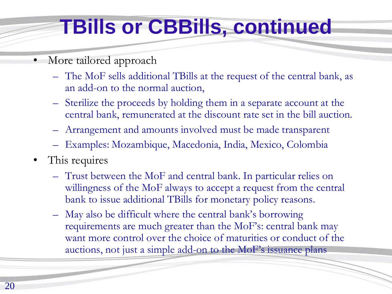## **TBills or CBBills, continued**

- More tailored approach
	- The MoF sells additional TBills at the request of the central bank, as an add-on to the normal auction,
	- Sterilize the proceeds by holding them in a separate account at the central bank, remunerated at the discount rate set in the bill auction.
	- Arrangement and amounts involved must be made transparent
	- Examples: Mozambique, Macedonia, India, Mexico, Colombia
- This requires
	- Trust between the MoF and central bank. In particular relies on willingness of the MoF always to accept a request from the central bank to issue additional TBills for monetary policy reasons.
	- May also be difficult where the central bank's borrowing requirements are much greater than the MoF's: central bank may want more control over the choice of maturities or conduct of the auctions, not just a simple add-on to the MoF's issuance plans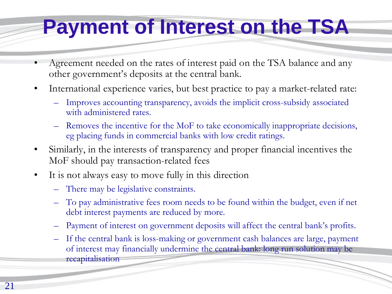## **Payment of Interest on the TSA**

- Agreement needed on the rates of interest paid on the TSA balance and any other government's deposits at the central bank.
- International experience varies, but best practice to pay a market-related rate:
	- Improves accounting transparency, avoids the implicit cross-subsidy associated with administered rates.
	- Removes the incentive for the MoF to take economically inappropriate decisions, eg placing funds in commercial banks with low credit ratings.
- Similarly, in the interests of transparency and proper financial incentives the MoF should pay transaction-related fees
- It is not always easy to move fully in this direction
	- There may be legislative constraints.
	- To pay administrative fees room needs to be found within the budget, even if net debt interest payments are reduced by more.
	- Payment of interest on government deposits will affect the central bank's profits.
	- If the central bank is loss-making or government cash balances are large, payment of interest may financially undermine the central bank: long run solution may be recapitalisation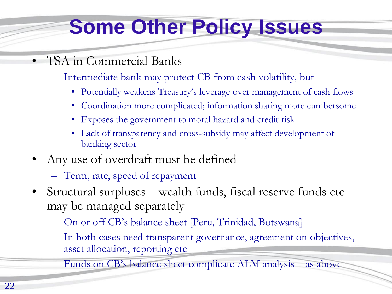## **Some Other Policy Issues**

- TSA in Commercial Banks
	- Intermediate bank may protect CB from cash volatility, but
		- Potentially weakens Treasury's leverage over management of cash flows
		- Coordination more complicated; information sharing more cumbersome
		- Exposes the government to moral hazard and credit risk
		- Lack of transparency and cross-subsidy may affect development of banking sector
- Any use of overdraft must be defined
	- Term, rate, speed of repayment
- Structural surpluses wealth funds, fiscal reserve funds etc may be managed separately
	- On or off CB's balance sheet [Peru, Trinidad, Botswana]
	- In both cases need transparent governance, agreement on objectives, asset allocation, reporting etc
	- Funds on CB's balance sheet complicate ALM analysis as above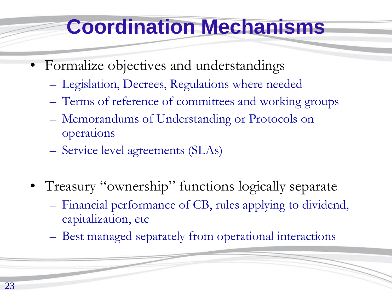## **Coordination Mechanisms**

- Formalize objectives and understandings
	- Legislation, Decrees, Regulations where needed
	- Terms of reference of committees and working groups
	- Memorandums of Understanding or Protocols on operations
	- Service level agreements (SLAs)
- Treasury "ownership" functions logically separate
	- Financial performance of CB, rules applying to dividend, capitalization, etc
	- Best managed separately from operational interactions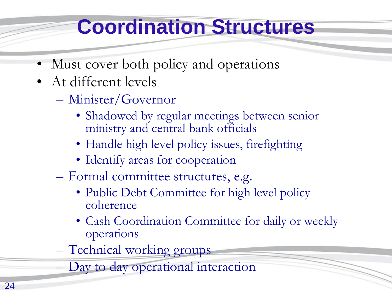## **Coordination Structures**

- Must cover both policy and operations
- At different levels
	- Minister/Governor
		- Shadowed by regular meetings between senior ministry and central bank officials
		- Handle high level policy issues, firefighting
		- Identify areas for cooperation
	- Formal committee structures, e.g.
		- Public Debt Committee for high level policy coherence
		- Cash Coordination Committee for daily or weekly operations
	- Technical working groups
	- Day to day operational interaction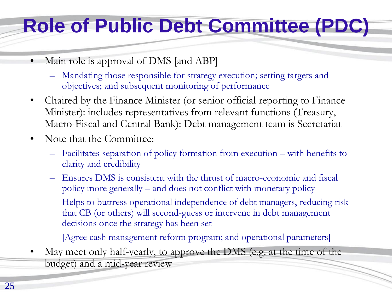## **Role of Public Debt Committee (PDC)**

- Main role is approval of DMS [and ABP]
	- Mandating those responsible for strategy execution; setting targets and objectives; and subsequent monitoring of performance
- Chaired by the Finance Minister (or senior official reporting to Finance Minister): includes representatives from relevant functions (Treasury, Macro-Fiscal and Central Bank): Debt management team is Secretariat
- Note that the Committee:
	- Facilitates separation of policy formation from execution with benefits to clarity and credibility
	- Ensures DMS is consistent with the thrust of macro-economic and fiscal policy more generally – and does not conflict with monetary policy
	- Helps to buttress operational independence of debt managers, reducing risk that CB (or others) will second-guess or intervene in debt management decisions once the strategy has been set
	- [Agree cash management reform program; and operational parameters]
- May meet only half-yearly, to approve the DMS (e.g. at the time of the budget) and a mid-year review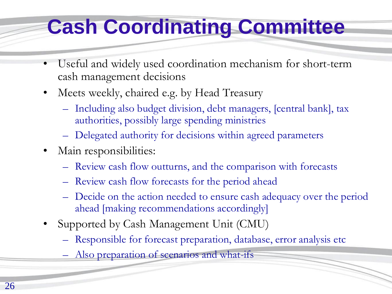## **Cash Coordinating Committee**

- Useful and widely used coordination mechanism for short-term cash management decisions
- Meets weekly, chaired e.g. by Head Treasury
	- Including also budget division, debt managers, [central bank], tax authorities, possibly large spending ministries
	- Delegated authority for decisions within agreed parameters
- Main responsibilities:
	- Review cash flow outturns, and the comparison with forecasts
	- Review cash flow forecasts for the period ahead
	- Decide on the action needed to ensure cash adequacy over the period ahead [making recommendations accordingly]
- Supported by Cash Management Unit (CMU)
	- Responsible for forecast preparation, database, error analysis etc
	- Also preparation of scenarios and what-ifs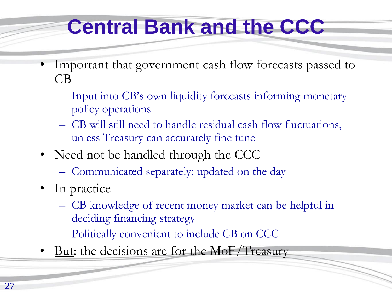## **Central Bank and the CCC**

- Important that government cash flow forecasts passed to CB
	- Input into CB's own liquidity forecasts informing monetary policy operations
	- CB will still need to handle residual cash flow fluctuations, unless Treasury can accurately fine tune
- Need not be handled through the CCC
	- Communicated separately; updated on the day
- In practice
	- CB knowledge of recent money market can be helpful in deciding financing strategy
	- Politically convenient to include CB on CCC
- But: the decisions are for the MoF/Treasury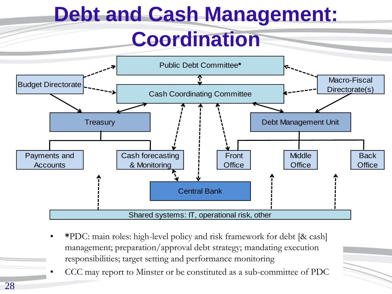# **Debt and Cash Management:**

#### **Coordination**



- **\***PDC: main roles: high-level policy and risk framework for debt [& cash] management; preparation/approval debt strategy; mandating execution responsibilities; target setting and performance monitoring
- CCC may report to Minster or be constituted as a sub-committee of PDC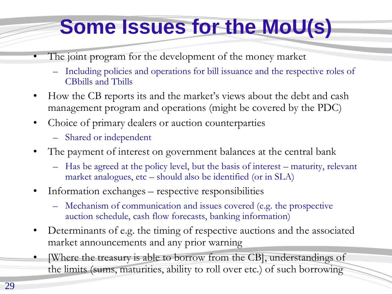## **Some Issues for the MoU(s)**

- The joint program for the development of the money market
	- Including policies and operations for bill issuance and the respective roles of CBbills and Tbills
- How the CB reports its and the market's views about the debt and cash management program and operations (might be covered by the PDC)
- Choice of primary dealers or auction counterparties
	- Shared or independent
- The payment of interest on government balances at the central bank
	- Has be agreed at the policy level, but the basis of interest maturity, relevant market analogues, etc – should also be identified (or in SLA)
- Information exchanges respective responsibilities
	- Mechanism of communication and issues covered (e.g. the prospective auction schedule, cash flow forecasts, banking information)
- Determinants of e.g. the timing of respective auctions and the associated market announcements and any prior warning
- [Where the treasury is able to borrow from the CB], understandings of the limits (sums, maturities, ability to roll over etc.) of such borrowing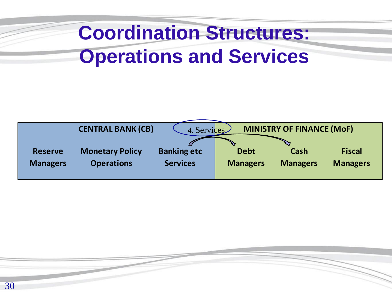## **Coordination Structures: Operations and Services**

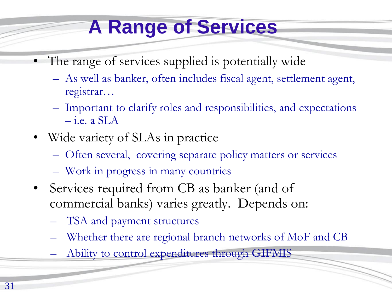## **A Range of Services**

- The range of services supplied is potentially wide
	- As well as banker, often includes fiscal agent, settlement agent, registrar…
	- Important to clarify roles and responsibilities, and expectations  $-$  i.e. a SLA
- Wide variety of SLAs in practice
	- Often several, covering separate policy matters or services
	- Work in progress in many countries
- Services required from CB as banker (and of commercial banks) varies greatly. Depends on:
	- TSA and payment structures
	- Whether there are regional branch networks of MoF and CB
	- Ability to control expenditures through GIFMIS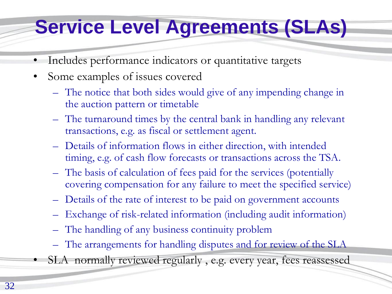#### **Service Level Agreements (SLAs)**

- Includes performance indicators or quantitative targets
- Some examples of issues covered
	- The notice that both sides would give of any impending change in the auction pattern or timetable
	- The turnaround times by the central bank in handling any relevant transactions, e.g. as fiscal or settlement agent.
	- Details of information flows in either direction, with intended timing, e.g. of cash flow forecasts or transactions across the TSA.
	- The basis of calculation of fees paid for the services (potentially covering compensation for any failure to meet the specified service)
	- Details of the rate of interest to be paid on government accounts
	- Exchange of risk-related information (including audit information)
	- The handling of any business continuity problem
	- The arrangements for handling disputes and for review of the SLA
	- SLA normally reviewed regularly, e.g. every year, fees reassessed